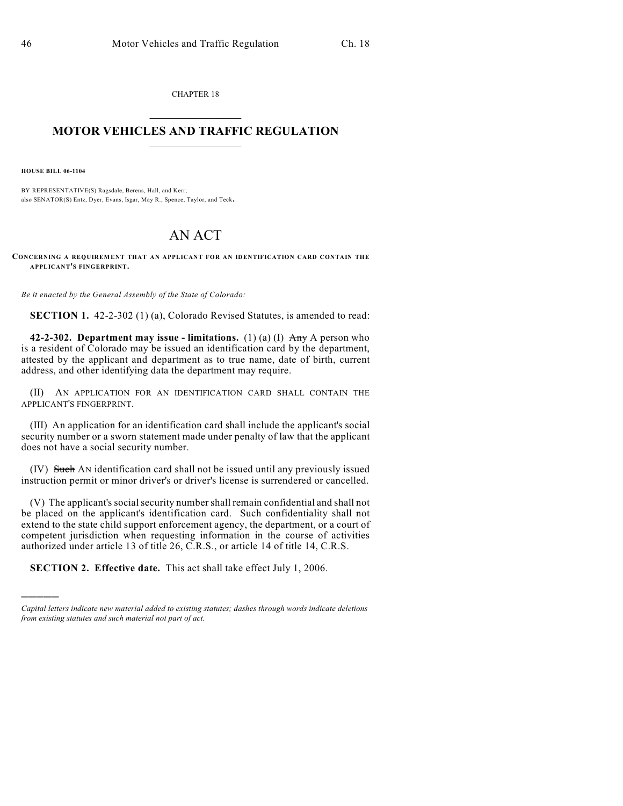CHAPTER 18  $\mathcal{L}_\text{max}$  . The set of the set of the set of the set of the set of the set of the set of the set of the set of the set of the set of the set of the set of the set of the set of the set of the set of the set of the set

## **MOTOR VEHICLES AND TRAFFIC REGULATION**  $\frac{1}{2}$  ,  $\frac{1}{2}$  ,  $\frac{1}{2}$  ,  $\frac{1}{2}$  ,  $\frac{1}{2}$  ,  $\frac{1}{2}$  ,  $\frac{1}{2}$  ,  $\frac{1}{2}$

**HOUSE BILL 06-1104**

)))))

BY REPRESENTATIVE(S) Ragsdale, Berens, Hall, and Kerr; also SENATOR(S) Entz, Dyer, Evans, Isgar, May R., Spence, Taylor, and Teck.

## AN ACT

**CONCERNING A REQUIREMENT THAT AN APPLICANT FOR AN IDENTIFICATION CARD CONTAIN THE APPLICANT'S FINGERPRINT.**

*Be it enacted by the General Assembly of the State of Colorado:*

**SECTION 1.** 42-2-302 (1) (a), Colorado Revised Statutes, is amended to read:

**42-2-302. Department may issue - limitations.** (1) (a) (I) Any A person who is a resident of Colorado may be issued an identification card by the department, attested by the applicant and department as to true name, date of birth, current address, and other identifying data the department may require.

(II) AN APPLICATION FOR AN IDENTIFICATION CARD SHALL CONTAIN THE APPLICANT'S FINGERPRINT.

(III) An application for an identification card shall include the applicant's social security number or a sworn statement made under penalty of law that the applicant does not have a social security number.

(IV) Such AN identification card shall not be issued until any previously issued instruction permit or minor driver's or driver's license is surrendered or cancelled.

(V) The applicant's social security number shall remain confidential and shall not be placed on the applicant's identification card. Such confidentiality shall not extend to the state child support enforcement agency, the department, or a court of competent jurisdiction when requesting information in the course of activities authorized under article 13 of title 26, C.R.S., or article 14 of title 14, C.R.S.

**SECTION 2. Effective date.** This act shall take effect July 1, 2006.

*Capital letters indicate new material added to existing statutes; dashes through words indicate deletions from existing statutes and such material not part of act.*